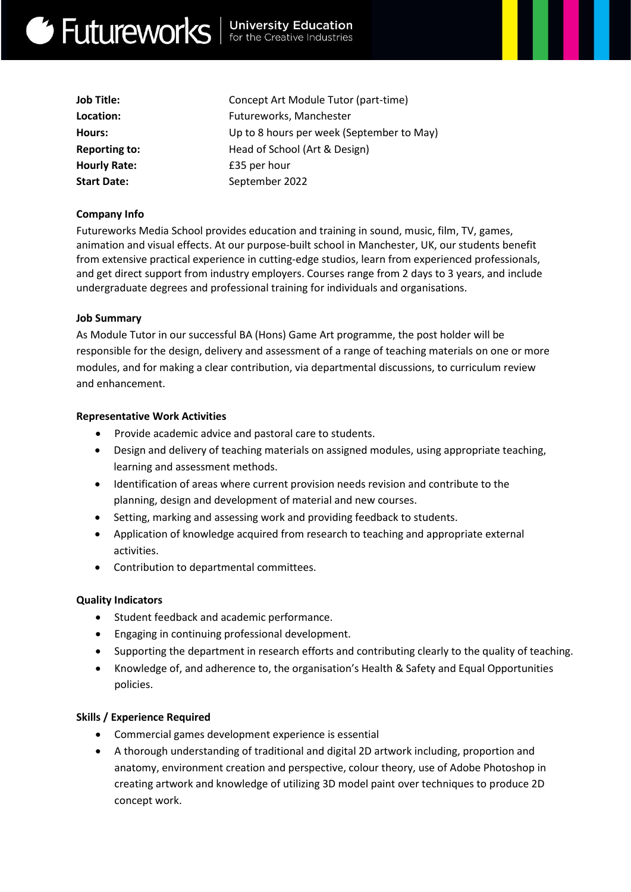# Get Futureworks | University Education

| <b>Job Title:</b>    | Concept Art Module Tutor (part-time)      |
|----------------------|-------------------------------------------|
| Location:            | Futureworks, Manchester                   |
| Hours:               | Up to 8 hours per week (September to May) |
| <b>Reporting to:</b> | Head of School (Art & Design)             |
| <b>Hourly Rate:</b>  | £35 per hour                              |
| <b>Start Date:</b>   | September 2022                            |
|                      |                                           |

### **Company Info**

Futureworks Media School provides education and training in sound, music, film, TV, games, animation and visual effects. At our purpose-built school in Manchester, UK, our students benefit from extensive practical experience in cutting-edge studios, learn from experienced professionals, and get direct support from industry employers. Courses range from 2 days to 3 years, and include undergraduate degrees and professional training for individuals and organisations.

#### **Job Summary**

As Module Tutor in our successful BA (Hons) Game Art programme, the post holder will be responsible for the design, delivery and assessment of a range of teaching materials on one or more modules, and for making a clear contribution, via departmental discussions, to curriculum review and enhancement.

#### **Representative Work Activities**

- Provide academic advice and pastoral care to students.
- Design and delivery of teaching materials on assigned modules, using appropriate teaching, learning and assessment methods.
- Identification of areas where current provision needs revision and contribute to the planning, design and development of material and new courses.
- Setting, marking and assessing work and providing feedback to students.
- Application of knowledge acquired from research to teaching and appropriate external activities.
- Contribution to departmental committees.

#### **Quality Indicators**

- Student feedback and academic performance.
- Engaging in continuing professional development.
- Supporting the department in research efforts and contributing clearly to the quality of teaching.
- Knowledge of, and adherence to, the organisation's Health & Safety and Equal Opportunities policies.

#### **Skills / Experience Required**

- Commercial games development experience is essential
- A thorough understanding of traditional and digital 2D artwork including, proportion and anatomy, environment creation and perspective, colour theory, use of Adobe Photoshop in creating artwork and knowledge of utilizing 3D model paint over techniques to produce 2D concept work.